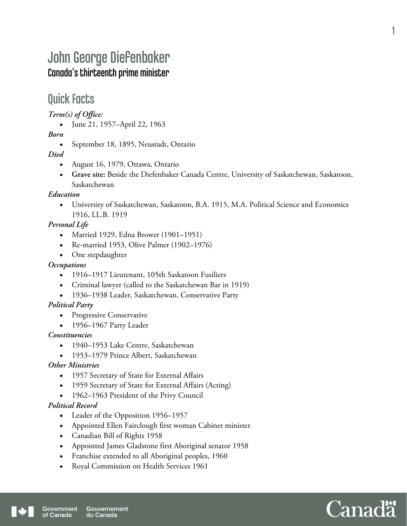# John George Diefenbaker Canada's thirteenth prime minister

## Quick Facts

#### *Term(s) of Office:*

June 21, 1957–April 22, 1963

#### *Born*

• September 18, 1895, Neustadt, Ontario

#### *Died*

- August 16, 1979, Ottawa, Ontario
- **Grave site:** Beside the Diefenbaker Canada Centre, University of Saskatchewan, Saskatoon, Saskatchewan

#### *Education*

 University of Saskatchewan, Saskatoon, B.A. 1915, M.A. Political Science and Economics 1916, LL.B. 1919

#### *Personal Life*

- Married 1929, Edna Brower (1901–1951)
- Re-married 1953, Olive Palmer (1902–1976)
- One stepdaughter

#### *Occupations*

- 1916–1917 Lieutenant, 105th Saskatoon Fusiliers
- Criminal lawyer (called to the Saskatchewan Bar in 1919)
- 1936–1938 Leader, Saskatchewan, Conservative Party

#### *Political Party*

- Progressive Conservative
- 1956–1967 Party Leader

#### *Constituencies*

- 1940–1953 Lake Centre, Saskatchewan
- 1953–1979 Prince Albert, Saskatchewan

#### *Other Ministries*

- 1957 Secretary of State for External Affairs
- 1959 Secretary of State for External Affairs (Acting)
- 1962–1963 President of the Privy Council

#### *Political Record*

- Leader of the Opposition 1956–1957
- Appointed Ellen Fairclough first woman Cabinet minister
- Canadian Bill of Rights 1958
- Appointed James Gladstone first Aboriginal senator 1958
- Franchise extended to all Aboriginal peoples, 1960
- Royal Commission on Health Services 1961



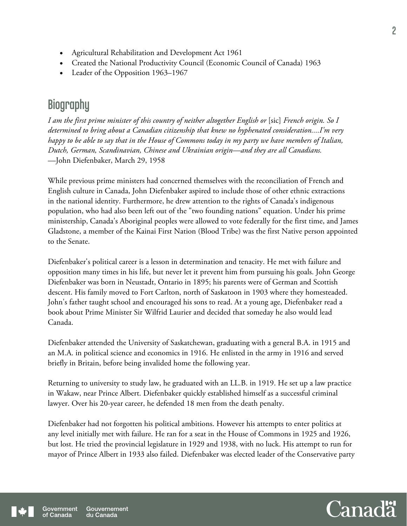- Agricultural Rehabilitation and Development Act 1961
- Created the National Productivity Council (Economic Council of Canada) 1963
- Leader of the Opposition 1963–1967

## **Biography**

*I am the first prime minister of this country of neither altogether English or* [sic] *French origin. So I determined to bring about a Canadian citizenship that knew no hyphenated consideration....I'm very happy to be able to say that in the House of Commons today in my party we have members of Italian, Dutch, German, Scandinavian, Chinese and Ukrainian origin—and they are all Canadians.*  —John Diefenbaker, March 29, 1958

While previous prime ministers had concerned themselves with the reconciliation of French and English culture in Canada, John Diefenbaker aspired to include those of other ethnic extractions in the national identity. Furthermore, he drew attention to the rights of Canada's indigenous population, who had also been left out of the "two founding nations" equation. Under his prime ministership, Canada's Aboriginal peoples were allowed to vote federally for the first time, and James Gladstone, a member of the Kainai First Nation (Blood Tribe) was the first Native person appointed to the Senate.

Diefenbaker's political career is a lesson in determination and tenacity. He met with failure and opposition many times in his life, but never let it prevent him from pursuing his goals. John George Diefenbaker was born in Neustadt, Ontario in 1895; his parents were of German and Scottish descent. His family moved to Fort Carlton, north of Saskatoon in 1903 where they homesteaded. John's father taught school and encouraged his sons to read. At a young age, Diefenbaker read a book about Prime Minister Sir Wilfrid Laurier and decided that someday he also would lead Canada.

Diefenbaker attended the University of Saskatchewan, graduating with a general B.A. in 1915 and an M.A. in political science and economics in 1916. He enlisted in the army in 1916 and served briefly in Britain, before being invalided home the following year.

Returning to university to study law, he graduated with an LL.B. in 1919. He set up a law practice in Wakaw, near Prince Albert. Diefenbaker quickly established himself as a successful criminal lawyer. Over his 20-year career, he defended 18 men from the death penalty.

Diefenbaker had not forgotten his political ambitions. However his attempts to enter politics at any level initially met with failure. He ran for a seat in the House of Commons in 1925 and 1926, but lost. He tried the provincial legislature in 1929 and 1938, with no luck. His attempt to run for mayor of Prince Albert in 1933 also failed. Diefenbaker was elected leader of the Conservative party

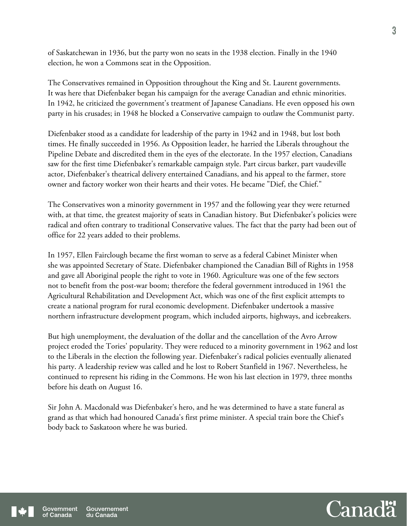of Saskatchewan in 1936, but the party won no seats in the 1938 election. Finally in the 1940 election, he won a Commons seat in the Opposition.

The Conservatives remained in Opposition throughout the King and St. Laurent governments. It was here that Diefenbaker began his campaign for the average Canadian and ethnic minorities. In 1942, he criticized the government's treatment of Japanese Canadians. He even opposed his own party in his crusades; in 1948 he blocked a Conservative campaign to outlaw the Communist party.

Diefenbaker stood as a candidate for leadership of the party in 1942 and in 1948, but lost both times. He finally succeeded in 1956. As Opposition leader, he harried the Liberals throughout the Pipeline Debate and discredited them in the eyes of the electorate. In the 1957 election, Canadians saw for the first time Diefenbaker's remarkable campaign style. Part circus barker, part vaudeville actor, Diefenbaker's theatrical delivery entertained Canadians, and his appeal to the farmer, store owner and factory worker won their hearts and their votes. He became "Dief, the Chief."

The Conservatives won a minority government in 1957 and the following year they were returned with, at that time, the greatest majority of seats in Canadian history. But Diefenbaker's policies were radical and often contrary to traditional Conservative values. The fact that the party had been out of office for 22 years added to their problems.

In 1957, Ellen Fairclough became the first woman to serve as a federal Cabinet Minister when she was appointed Secretary of State. Diefenbaker championed the Canadian Bill of Rights in 1958 and gave all Aboriginal people the right to vote in 1960. Agriculture was one of the few sectors not to benefit from the post-war boom; therefore the federal government introduced in 1961 the Agricultural Rehabilitation and Development Act, which was one of the first explicit attempts to create a national program for rural economic development. Diefenbaker undertook a massive northern infrastructure development program, which included airports, highways, and icebreakers.

But high unemployment, the devaluation of the dollar and the cancellation of the Avro Arrow project eroded the Tories' popularity. They were reduced to a minority government in 1962 and lost to the Liberals in the election the following year. Diefenbaker's radical policies eventually alienated his party. A leadership review was called and he lost to Robert Stanfield in 1967. Nevertheless, he continued to represent his riding in the Commons. He won his last election in 1979, three months before his death on August 16.

Sir John A. Macdonald was Diefenbaker's hero, and he was determined to have a state funeral as grand as that which had honoured Canada's first prime minister. A special train bore the Chief's body back to Saskatoon where he was buried.

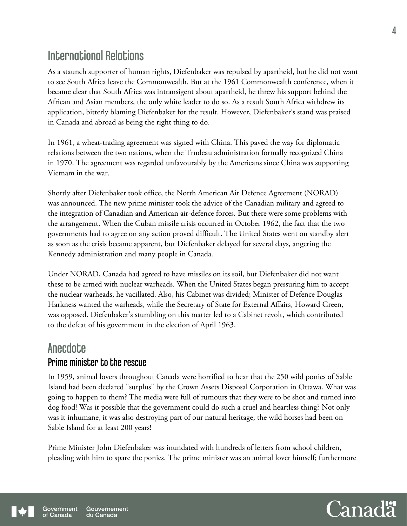# International Relations

As a staunch supporter of human rights, Diefenbaker was repulsed by apartheid, but he did not want to see South Africa leave the Commonwealth. But at the 1961 Commonwealth conference, when it became clear that South Africa was intransigent about apartheid, he threw his support behind the African and Asian members, the only white leader to do so. As a result South Africa withdrew its application, bitterly blaming Diefenbaker for the result. However, Diefenbaker's stand was praised in Canada and abroad as being the right thing to do.

In 1961, a wheat-trading agreement was signed with China. This paved the way for diplomatic relations between the two nations, when the Trudeau administration formally recognized China in 1970. The agreement was regarded unfavourably by the Americans since China was supporting Vietnam in the war.

Shortly after Diefenbaker took office, the North American Air Defence Agreement (NORAD) was announced. The new prime minister took the advice of the Canadian military and agreed to the integration of Canadian and American air-defence forces. But there were some problems with the arrangement. When the Cuban missile crisis occurred in October 1962, the fact that the two governments had to agree on any action proved difficult. The United States went on standby alert as soon as the crisis became apparent, but Diefenbaker delayed for several days, angering the Kennedy administration and many people in Canada.

Under NORAD, Canada had agreed to have missiles on its soil, but Diefenbaker did not want these to be armed with nuclear warheads. When the United States began pressuring him to accept the nuclear warheads, he vacillated. Also, his Cabinet was divided; Minister of Defence Douglas Harkness wanted the warheads, while the Secretary of State for External Affairs, Howard Green, was opposed. Diefenbaker's stumbling on this matter led to a Cabinet revolt, which contributed to the defeat of his government in the election of April 1963.

### **Anecdote** Prime minister to the rescue

In 1959, animal lovers throughout Canada were horrified to hear that the 250 wild ponies of Sable Island had been declared "surplus" by the Crown Assets Disposal Corporation in Ottawa. What was going to happen to them? The media were full of rumours that they were to be shot and turned into dog food! Was it possible that the government could do such a cruel and heartless thing? Not only was it inhumane, it was also destroying part of our natural heritage; the wild horses had been on Sable Island for at least 200 years!

Prime Minister John Diefenbaker was inundated with hundreds of letters from school children, pleading with him to spare the ponies. The prime minister was an animal lover himself; furthermore

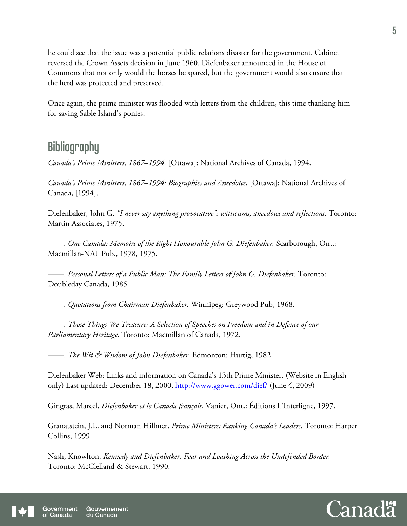he could see that the issue was a potential public relations disaster for the government. Cabinet reversed the Crown Assets decision in June 1960. Diefenbaker announced in the House of Commons that not only would the horses be spared, but the government would also ensure that the herd was protected and preserved.

Once again, the prime minister was flooded with letters from the children, this time thanking him for saving Sable Island's ponies.

### **Bibliography**

*Canada's Prime Ministers, 1867–1994.* [Ottawa]: National Archives of Canada, 1994.

*Canada's Prime Ministers, 1867–1994: Biographies and Anecdotes.* [Ottawa]: National Archives of Canada, [1994].

Diefenbaker, John G. *"I never say anything provocative": witticisms, anecdotes and reflections.* Toronto: Martin Associates, 1975.

——. *One Canada: Memoirs of the Right Honourable John G. Diefenbaker.* Scarborough, Ont.: Macmillan-NAL Pub., 1978, 1975.

——. *Personal Letters of a Public Man: The Family Letters of John G. Diefenbaker.* Toronto: Doubleday Canada, 1985.

——. *Quotations from Chairman Diefenbaker.* Winnipeg: Greywood Pub, 1968.

——. *Those Things We Treasure: A Selection of Speeches on Freedom and in Defence of our Parliamentary Heritage.* Toronto: Macmillan of Canada, 1972.

——. *The Wit & Wisdom of John Diefenbaker*. Edmonton: Hurtig, 1982.

Diefenbaker Web: Links and information on Canada's 13th Prime Minister. (Website in English only) Last updated: December 18, 2000. http://www.ggower.com/dief/ (June 4, 2009)

Gingras, Marcel. *Diefenbaker et le Canada français.* Vanier, Ont.: Éditions L'Interligne, 1997.

Granatstein, J.L. and Norman Hillmer. *Prime Ministers: Ranking Canada's Leaders*. Toronto: Harper Collins, 1999.

Nash, Knowlton. *Kennedy and Diefenbaker: Fear and Loathing Across the Undefended Border.* Toronto: McClelland & Stewart, 1990.